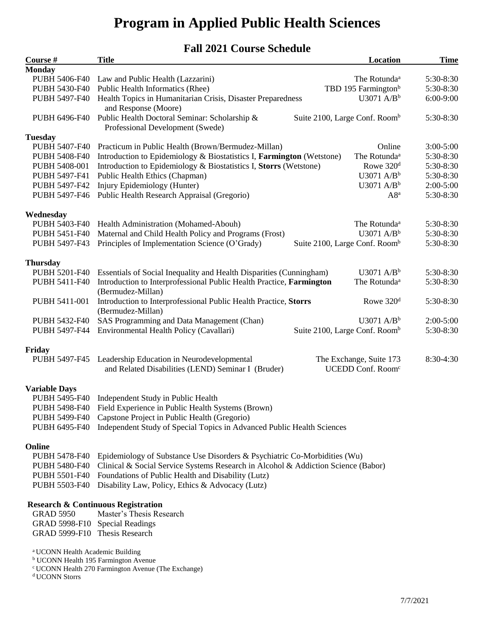# **Program in Applied Public Health Sciences**

# **Fall 2021 Course Schedule**

| Course #<br><b>Monday</b>                   | <b>Title</b>                                                                      | Location                                  | <b>Time</b>   |
|---------------------------------------------|-----------------------------------------------------------------------------------|-------------------------------------------|---------------|
| PUBH 5406-F40                               | Law and Public Health (Lazzarini)                                                 | The Rotunda <sup>a</sup>                  | 5:30-8:30     |
| PUBH 5430-F40                               | Public Health Informatics (Rhee)                                                  | TBD 195 Farmington <sup>b</sup>           | 5:30-8:30     |
| PUBH 5497-F40                               | Health Topics in Humanitarian Crisis, Disaster Preparedness                       | $U3071$ A/B <sup>b</sup>                  | 6:00-9:00     |
|                                             | and Response (Moore)                                                              |                                           |               |
| PUBH 6496-F40                               | Public Health Doctoral Seminar: Scholarship &<br>Professional Development (Swede) | Suite 2100, Large Conf. Room <sup>b</sup> | 5:30-8:30     |
| <b>Tuesday</b>                              |                                                                                   |                                           |               |
| PUBH 5407-F40                               | Practicum in Public Health (Brown/Bermudez-Millan)                                | Online                                    | $3:00 - 5:00$ |
| PUBH 5408-F40                               | Introduction to Epidemiology & Biostatistics I, Farmington (Wetstone)             | The Rotunda <sup>a</sup>                  | 5:30-8:30     |
| PUBH 5408-001                               | Introduction to Epidemiology & Biostatistics I, Storrs (Wetstone)                 | Rowe 320 <sup>d</sup>                     | 5:30-8:30     |
| PUBH 5497-F41                               | Public Health Ethics (Chapman)                                                    | $U3071$ A/B <sup>b</sup>                  | 5:30-8:30     |
| PUBH 5497-F42                               | Injury Epidemiology (Hunter)                                                      | U3071 $A/Bb$                              | $2:00-5:00$   |
|                                             |                                                                                   |                                           |               |
| PUBH 5497-F46                               | Public Health Research Appraisal (Gregorio)                                       | $A8^a$                                    | 5:30-8:30     |
| Wednesday                                   |                                                                                   |                                           |               |
| PUBH 5403-F40                               | Health Administration (Mohamed-Abouh)                                             | The Rotunda <sup>a</sup>                  | 5:30-8:30     |
| PUBH 5451-F40                               | Maternal and Child Health Policy and Programs (Frost)                             | U3071 $A/Bb$                              | 5:30-8:30     |
| PUBH 5497-F43                               | Principles of Implementation Science (O'Grady)                                    | Suite 2100, Large Conf. Room <sup>b</sup> | 5:30-8:30     |
| <b>Thursday</b>                             |                                                                                   |                                           |               |
| PUBH 5201-F40                               | Essentials of Social Inequality and Health Disparities (Cunningham)               | U3071 $A/Bb$                              | 5:30-8:30     |
| PUBH 5411-F40                               | Introduction to Interprofessional Public Health Practice, Farmington              | The Rotunda <sup>a</sup>                  | 5:30-8:30     |
|                                             | (Bermudez-Millan)                                                                 |                                           |               |
| PUBH 5411-001                               | Introduction to Interprofessional Public Health Practice, Storrs                  | Rowe $320d$                               | 5:30-8:30     |
|                                             | (Bermudez-Millan)                                                                 |                                           |               |
| PUBH 5432-F40                               |                                                                                   | $U3071$ A/B <sup>b</sup>                  | $2:00-5:00$   |
| PUBH 5497-F44                               | SAS Programming and Data Management (Chan)                                        |                                           | 5:30-8:30     |
|                                             | Environmental Health Policy (Cavallari)                                           | Suite 2100, Large Conf. Room <sup>b</sup> |               |
| Friday                                      |                                                                                   |                                           |               |
| PUBH 5497-F45                               | Leadership Education in Neurodevelopmental                                        | The Exchange, Suite 173                   | 8:30-4:30     |
|                                             | and Related Disabilities (LEND) Seminar I (Bruder)                                | UCEDD Conf. Room <sup>c</sup>             |               |
|                                             |                                                                                   |                                           |               |
| <b>Variable Days</b>                        |                                                                                   |                                           |               |
| PUBH 5495-F40                               | Independent Study in Public Health                                                |                                           |               |
| PUBH 5498-F40                               | Field Experience in Public Health Systems (Brown)                                 |                                           |               |
| PUBH 5499-F40                               | Capstone Project in Public Health (Gregorio)                                      |                                           |               |
| PUBH 6495-F40                               | Independent Study of Special Topics in Advanced Public Health Sciences            |                                           |               |
|                                             |                                                                                   |                                           |               |
| Online                                      |                                                                                   |                                           |               |
| <b>PUBH 5478-F40</b>                        | Epidemiology of Substance Use Disorders & Psychiatric Co-Morbidities (Wu)         |                                           |               |
| <b>PUBH 5480-F40</b>                        | Clinical & Social Service Systems Research in Alcohol & Addiction Science (Babor) |                                           |               |
| PUBH 5501-F40                               | Foundations of Public Health and Disability (Lutz)                                |                                           |               |
| PUBH 5503-F40                               | Disability Law, Policy, Ethics & Advocacy (Lutz)                                  |                                           |               |
|                                             |                                                                                   |                                           |               |
|                                             | <b>Research &amp; Continuous Registration</b>                                     |                                           |               |
| <b>GRAD 5950</b>                            | Master's Thesis Research                                                          |                                           |               |
| GRAD 5998-F10                               | <b>Special Readings</b>                                                           |                                           |               |
| GRAD 5999-F10 Thesis Research               |                                                                                   |                                           |               |
| <sup>a</sup> UCONN Health Academic Building | <sup>b</sup> UCONN Health 195 Farmington Avenue                                   |                                           |               |
|                                             |                                                                                   |                                           |               |

<sup>c</sup> UCONN Health 270 Farmington Avenue (The Exchange)

<sup>d</sup> UCONN Storrs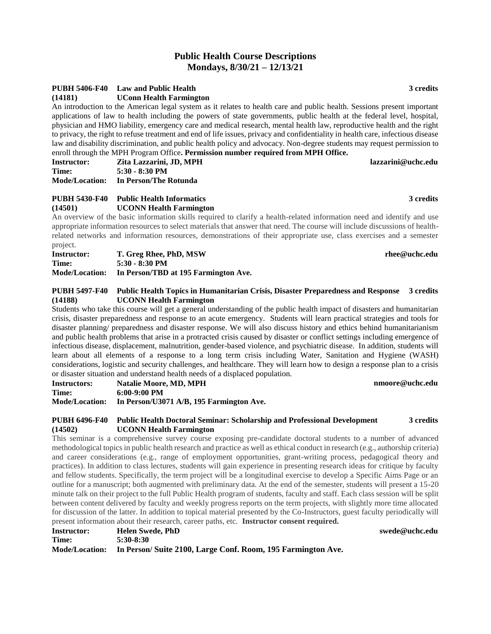# **Public Health Course Descriptions Mondays, 8/30/21 – 12/13/21**

# **PUBH 5406-F40 Law and Public Health 3 credits**

**(14181) UConn Health Farmington**

An introduction to the American legal system as it relates to health care and public health. Sessions present important applications of law to health including the powers of state governments, public health at the federal level, hospital, physician and HMO liability, emergency care and medical research, mental health law, reproductive health and the right to privacy, the right to refuse treatment and end of life issues, privacy and confidentiality in health care, infectious disease law and disability discrimination, and public health policy and advocacy. Non-degree students may request permission to enroll through the MPH Program Office**. Permission number required from MPH Office.**

| <b>Instructor:</b> | Zita Lazzarini, JD, MPH              | lazzarini@uchc.edu |
|--------------------|--------------------------------------|--------------------|
| Time:              | $5:30 - 8:30$ PM                     |                    |
|                    | Mode/Location: In Person/The Rotunda |                    |

### **PUBH 5430-F40 Public Health Informatics 3 credits (14501) UCONN Health Farmington**

An overview of the basic information skills required to clarify a health-related information need and identify and use appropriate information resources to select materials that answer that need. The course will include discussions of healthrelated networks and information resources, demonstrations of their appropriate use, class exercises and a semester project.

| <b>Instructor:</b>    | T. Greg Rhee, PhD, MSW               |
|-----------------------|--------------------------------------|
| Time:                 | 5:30 - 8:30 PM                       |
| <b>Mode/Location:</b> | In Person/TBD at 195 Farmington Ave. |

### **PUBH 5497-F40 Public Health Topics in Humanitarian Crisis, Disaster Preparedness and Response 3 credits (14188) UCONN Health Farmington**

Students who take this course will get a general understanding of the public health impact of disasters and humanitarian crisis, disaster preparedness and response to an acute emergency. Students will learn practical strategies and tools for disaster planning/ preparedness and disaster response. We will also discuss history and ethics behind humanitarianism and public health problems that arise in a protracted crisis caused by disaster or conflict settings including emergence of infectious disease, displacement, malnutrition, gender-based violence, and psychiatric disease. In addition, students will learn about all elements of a response to a long term crisis including Water, Sanitation and Hygiene (WASH) considerations, logistic and security challenges, and healthcare. They will learn how to design a response plan to a crisis or disaster situation and understand health needs of a displaced population.

| <b>Instructors:</b> | <b>Natalie Moore, MD, MPH</b>                           | nmoore@uchc.edu |
|---------------------|---------------------------------------------------------|-----------------|
|                     |                                                         |                 |
| Time:               | $6:00-9:00$ PM                                          |                 |
|                     | Mode/Location: In Person/U3071 A/B, 195 Farmington Ave. |                 |

### **PUBH 6496-F40 Public Health Doctoral Seminar: Scholarship and Professional Development 3 credits (14502) UCONN Health Farmington**

This seminar is a comprehensive survey course exposing pre-candidate doctoral students to a number of advanced methodological topics in public health research and practice as well as ethical conduct in research (e.g., authorship criteria) and career considerations (e.g., range of employment opportunities, grant-writing process, pedagogical theory and practices). In addition to class lectures, students will gain experience in presenting research ideas for critique by faculty and fellow students. Specifically, the term project will be a longitudinal exercise to develop a Specific Aims Page or an outline for a manuscript; both augmented with preliminary data. At the end of the semester, students will present a 15-20 minute talk on their project to the full Public Health program of students, faculty and staff. Each class session will be split between content delivered by faculty and weekly progress reports on the term projects, with slightly more time allocated for discussion of the latter. In addition to topical material presented by the Co-Instructors, guest faculty periodically will present information about their research, career paths, etc. **Instructor consent required.**  $\mathbf{swede@uchc.edu}$ 

| <b>Instructor:</b>    | <b>Helen Swede, PhD</b>                                      |
|-----------------------|--------------------------------------------------------------|
| Time:                 | 5:30-8:30                                                    |
| <b>Mode/Location:</b> | In Person/ Suite 2100, Large Conf. Room, 195 Farmington Ave. |

 $\mathbf{r}$ hee@uchc.edu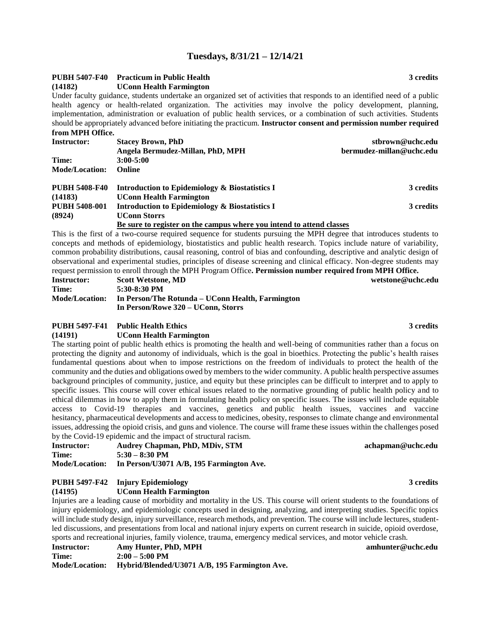# **Tuesdays, 8/31/21 – 12/14/21**

# **PUBH 5407-F40 Practicum in Public Health 3 credits**

### **(14182) UConn Health Farmington**

Under faculty guidance, students undertake an organized set of activities that responds to an identified need of a public health agency or health-related organization. The activities may involve the policy development, planning, implementation, administration or evaluation of public health services, or a combination of such activities. Students should be appropriately advanced before initiating the practicum. **Instructor consent and permission number required from MPH Office.**

| <b>Instructor:</b>    | <b>Stacey Brown, PhD</b>                                             | stbrown@uchc.edu         |
|-----------------------|----------------------------------------------------------------------|--------------------------|
|                       | Angela Bermudez-Millan, PhD, MPH                                     | bermudez-millan@uchc.edu |
| Time:                 | $3:00 - 5:00$                                                        |                          |
| <b>Mode/Location:</b> | <b>Online</b>                                                        |                          |
| <b>PUBH 5408-F40</b>  | Introduction to Epidemiology & Biostatistics I                       | 3 credits                |
| (14183)               | <b>UConn Health Farmington</b>                                       |                          |
| <b>PUBH 5408-001</b>  | Introduction to Epidemiology & Biostatistics I                       | 3 credits                |
| (8924)                | <b>UConn Storrs</b>                                                  |                          |
|                       | Be sure to register on the campus where you intend to attend classes |                          |

This is the first of a two-course required sequence for students pursuing the MPH degree that introduces students to concepts and methods of epidemiology, biostatistics and public health research. Topics include nature of variability, common probability distributions, causal reasoning, control of bias and confounding, descriptive and analytic design of observational and experimental studies, principles of disease screening and clinical efficacy. Non-degree students may request permission to enroll through the MPH Program Office**. Permission number required from MPH Office.**

| <b>Instructor:</b>    | <b>Scott Wetstone, MD</b>                        | wetstone@uchc.edu |
|-----------------------|--------------------------------------------------|-------------------|
| Time:                 | 5:30-8:30 PM                                     |                   |
| <b>Mode/Location:</b> | In Person/The Rotunda – UConn Health, Farmington |                   |
|                       | In Person/Rowe 320 – UConn, Storrs               |                   |

### **PUBH 5497-F41 Public Health Ethics 3 credits**

### **(14191) UConn Health Farmington**

The starting point of public health ethics is promoting the health and well-being of communities rather than a focus on protecting the dignity and autonomy of individuals, which is the goal in bioethics. Protecting the public's health raises fundamental questions about when to impose restrictions on the freedom of individuals to protect the health of the community and the duties and obligations owed by members to the wider community. A public health perspective assumes background principles of community, justice, and equity but these principles can be difficult to interpret and to apply to specific issues. This course will cover ethical issues related to the normative grounding of public health policy and to ethical dilemmas in how to apply them in formulating health policy on specific issues. The issues will include equitable access to Covid-19 therapies and vaccines, genetics and public health issues, vaccines and vaccine hesitancy, pharmaceutical developments and access to medicines, obesity, responses to climate change and environmental issues, addressing the opioid crisis, and guns and violence. The course will frame these issues within the challenges posed by the Covid-19 epidemic and the impact of structural racism.

| <b>Instructor:</b>    | <b>Audrey Chapman, PhD, MDiv, STM</b>    |
|-----------------------|------------------------------------------|
| Time:                 | $5:30 - 8:30$ PM                         |
| <b>Mode/Location:</b> | In Person/U3071 A/B, 195 Farmington Ave. |

# **PUBH 5497-F42 Injury Epidemiology 3 credits**

**(14195) UConn Health Farmington**

Injuries are a leading cause of morbidity and mortality in the US. This course will orient students to the foundations of injury epidemiology, and epidemiologic concepts used in designing, analyzing, and interpreting studies. Specific topics will include study design, injury surveillance, research methods, and prevention. The course will include lectures, studentled discussions, and presentations from local and national injury experts on current research in suicide, opioid overdose, sports and recreational injuries, family violence, trauma, emergency medical services, and motor vehicle crash.

| <b>Instructor:</b>    | Amy Hunter, PhD, MPH                          |
|-----------------------|-----------------------------------------------|
| Time:                 | $2:00 - 5:00$ PM                              |
| <b>Mode/Location:</b> | Hybrid/Blended/U3071 A/B, 195 Farmington Ave. |

### **Instructor: Amy Hunter, PhD, MPH amhunter@uchc.edu**

**Instructor: Audrey Chapman, PhD, MDiv, STM achapman@uchc.edu**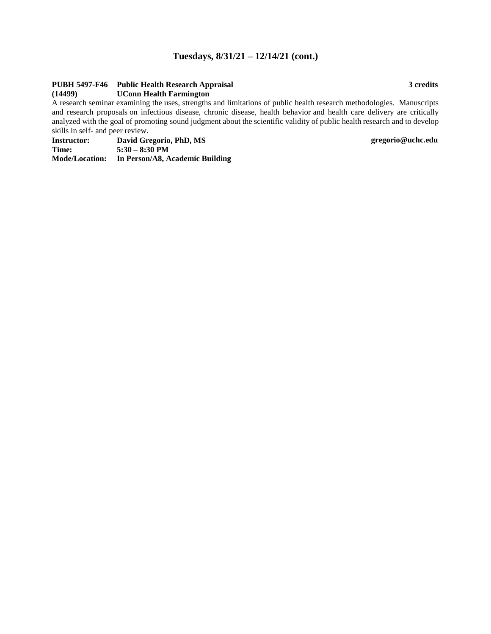# **Tuesdays, 8/31/21 – 12/14/21 (cont.)**

# **PUBH 5497-F46 Public Health Research Appraisal 3 credits**

### **(14499) UConn Health Farmington**

A research seminar examining the uses, strengths and limitations of public health research methodologies. Manuscripts and research proposals on infectious disease, chronic disease, health behavior and health care delivery are critically analyzed with the goal of promoting sound judgment about the scientific validity of public health research and to develop skills in self- and peer review.

**Instructor: David Gregorio, PhD, MS gregorio@uchc.edu Time: 5:30 – 8:30 PM**

**Mode/Location: In Person/A8, Academic Building**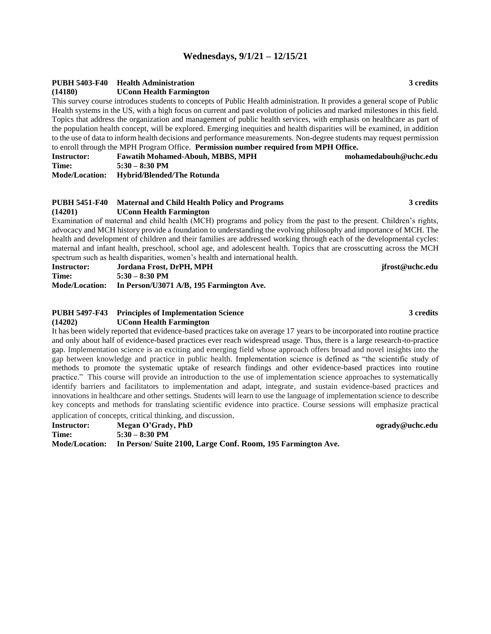# **Wednesdays, 9/1/21 – 12/15/21**

## **PUBH 5403-F40 Health Administration 3 credits**

**(14180) UConn Health Farmington**

This survey course introduces students to concepts of Public Health administration. It provides a general scope of Public Health systems in the US, with a high focus on current and past evolution of policies and marked milestones in this field. Topics that address the organization and management of public health services, with emphasis on healthcare as part of the population health concept, will be explored. Emerging inequities and health disparities will be examined, in addition to the use of data to inform health decisions and performance measurements. Non-degree students may request permission to enroll through the MPH Program Office. **Permission number required from MPH Office.**

| <b>Instructor:</b>    | <b>Fawatih Mohamed-Abouh, MBBS, MPH</b> | mohamedabouh@uchc.edu |
|-----------------------|-----------------------------------------|-----------------------|
| Time:                 | $5:30 - 8:30$ PM                        |                       |
| <b>Mode/Location:</b> | <b>Hybrid/Blended/The Rotunda</b>       |                       |

### **PUBH 5451-F40 Maternal and Child Health Policy and Programs 3 credits (14201) UConn Health Farmington**

Examination of maternal and child health (MCH) programs and policy from the past to the present. Children's rights, advocacy and MCH history provide a foundation to understanding the evolving philosophy and importance of MCH. The health and development of children and their families are addressed working through each of the developmental cycles: maternal and infant health, preschool, school age, and adolescent health. Topics that are crosscutting across the MCH spectrum such as health disparities, women's health and international health.

**Instructor: Jordana Frost, DrPH, MPH jfrost@uchc.edu Time: 5:30 – 8:30 PM Mode/Location: In Person/U3071 A/B, 195 Farmington Ave.** 

### **PUBH 5497-F43 Principles of Implementation Science 3 credits (14202) UConn Health Farmington**

It has been widely reported that evidence-based practices take on average 17 years to be incorporated into routine practice and only about half of evidence-based practices ever reach widespread usage. Thus, there is a large research-to-practice gap. Implementation science is an exciting and emerging field whose approach offers broad and novel insights into the gap between knowledge and practice in public health. Implementation science is defined as "the scientific study of methods to promote the systematic uptake of research findings and other evidence-based practices into routine practice." This course will provide an introduction to the use of implementation science approaches to systematically identify barriers and facilitators to implementation and adapt, integrate, and sustain evidence-based practices and innovations in healthcare and other settings. Students will learn to use the language of implementation science to describe key concepts and methods for translating scientific evidence into practice. Course sessions will emphasize practical application of concepts, critical thinking, and discussion.

**Instructor: Megan O'Grady, PhD ogrady@uchc.edu Time: 5:30 – 8:30 PM Mode/Location: In Person/ Suite 2100, Large Conf. Room, 195 Farmington Ave.**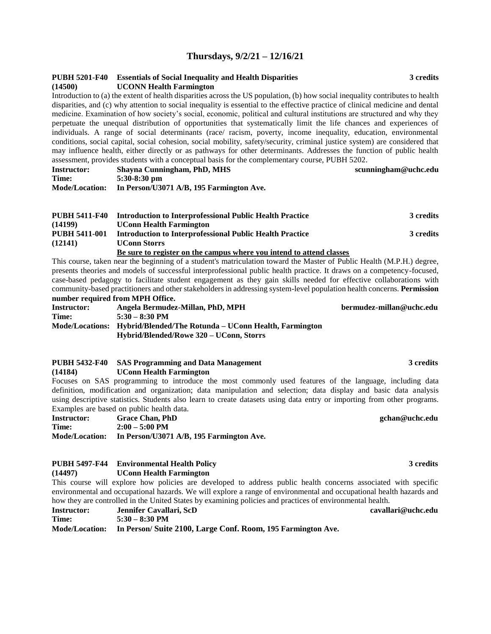# **Thursdays, 9/2/21 – 12/16/21**

| (14500)                          | PUBH 5201-F40 Essentials of Social Inequality and Health Disparities<br><b>UCONN Health Farmington</b>                         | 3 credits            |
|----------------------------------|--------------------------------------------------------------------------------------------------------------------------------|----------------------|
|                                  | Introduction to (a) the extent of health disparities across the US population, (b) how social inequality contributes to health |                      |
|                                  | disparities, and (c) why attention to social inequality is essential to the effective practice of clinical medicine and dental |                      |
|                                  | medicine. Examination of how society's social, economic, political and cultural institutions are structured and why they       |                      |
|                                  | perpetuate the unequal distribution of opportunities that systematically limit the life chances and experiences of             |                      |
|                                  | individuals. A range of social determinants (race/ racism, poverty, income inequality, education, environmental                |                      |
|                                  | conditions, social capital, social cohesion, social mobility, safety/security, criminal justice system) are considered that    |                      |
|                                  | may influence health, either directly or as pathways for other determinants. Addresses the function of public health           |                      |
|                                  | assessment, provides students with a conceptual basis for the complementary course, PUBH 5202.                                 |                      |
| <b>Instructor:</b>               | Shayna Cunningham, PhD, MHS                                                                                                    | scunningham@uchc.edu |
| Time:                            | $5:30-8:30$ pm                                                                                                                 |                      |
|                                  | Mode/Location: In Person/U3071 A/B, 195 Farmington Ave.                                                                        |                      |
|                                  |                                                                                                                                |                      |
| <b>PUBH 5411-F40</b>             | <b>Introduction to Interprofessional Public Health Practice</b>                                                                | 3 credits            |
| (14199)                          | <b>UConn Health Farmington</b>                                                                                                 |                      |
| <b>PUBH 5411-001</b>             | <b>Introduction to Interprofessional Public Health Practice</b>                                                                | 3 credits            |
| (12141)                          | <b>UConn Storrs</b>                                                                                                            |                      |
|                                  | Be sure to register on the campus where you intend to attend classes                                                           |                      |
|                                  | This course, taken near the beginning of a student's matriculation toward the Master of Public Health (M.P.H.) degree,         |                      |
|                                  | presents theories and models of successful interprofessional public health practice. It draws on a competency-focused,         |                      |
|                                  | case-based pedagogy to facilitate student engagement as they gain skills needed for effective collaborations with              |                      |
|                                  | community-based practitioners and other stakeholders in addressing system-level population health concerns. Permission         |                      |
| number required from MPH Office. |                                                                                                                                |                      |

| number required from the H Office. |                                                                       |                          |
|------------------------------------|-----------------------------------------------------------------------|--------------------------|
| <b>Instructor:</b>                 | Angela Bermudez-Millan, PhD, MPH                                      | bermudez-millan@uchc.edu |
| Time:                              | $5:30 - 8:30$ PM                                                      |                          |
|                                    | Mode/Locations: Hybrid/Blended/The Rotunda – UConn Health, Farmington |                          |
|                                    | Hybrid/Blended/Rowe 320 – UConn, Storrs                               |                          |
|                                    |                                                                       |                          |

|         |  | PUBH 5432-F40 SAS Programming and Data Management |                                                                                                         |  |  |  |  |  |  |  | 3 credits |  |  |
|---------|--|---------------------------------------------------|---------------------------------------------------------------------------------------------------------|--|--|--|--|--|--|--|-----------|--|--|
| (14184) |  |                                                   | <b>UConn Health Farmington</b>                                                                          |  |  |  |  |  |  |  |           |  |  |
|         |  |                                                   | Focuses on SAS programming to introduce the most commonly used features of the language, including data |  |  |  |  |  |  |  |           |  |  |

definition, modification and organization; data manipulation and selection; data display and basic data analysis using descriptive statistics. Students also learn to create datasets using data entry or importing from other programs. Examples are based on public health data. **Instructor: Grace Chan, PhD gchan@uchc.edu**

| <b>Instructor:</b>    | <b>Grace Chan, PhD</b>                   |
|-----------------------|------------------------------------------|
| Time:                 | $2:00-5:00$ PM                           |
| <b>Mode/Location:</b> | In Person/U3071 A/B, 195 Farmington Ave. |

# **PUBH 5497-F44 Environmental Health Policy 3 credits**

**(14497) UConn Health Farmington**

This course will explore how policies are developed to address public health concerns associated with specific environmental and occupational hazards. We will explore a range of environmental and occupational health hazards and how they are controlled in the United States by examining policies and practices of environmental health.

| Instructor:  | Jennifer Cavallari, ScD                                                     | cavallari@uchc.edu |
|--------------|-----------------------------------------------------------------------------|--------------------|
| <b>Time:</b> | $5:30 - 8:30$ PM                                                            |                    |
|              | Mode/Location: In Person/ Suite 2100, Large Conf. Room, 195 Farmington Ave. |                    |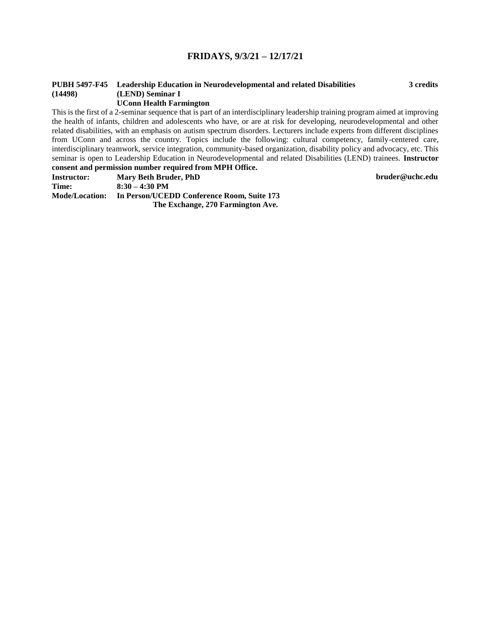# **FRIDAYS, 9/3/21 – 12/17/21**

# **PUBH 5497-F45 Leadership Education in Neurodevelopmental and related Disabilities 3 credits (14498) (LEND) Seminar I**

### **UConn Health Farmington**

This is the first of a 2-seminar sequence that is part of an interdisciplinary leadership training program aimed at improving the health of infants, children and adolescents who have, or are at risk for developing, neurodevelopmental and other related disabilities, with an emphasis on autism spectrum disorders. Lecturers include experts from different disciplines from UConn and across the country. Topics include the following: cultural competency, family-centered care, interdisciplinary teamwork, service integration, community-based organization, disability policy and advocacy, etc. This seminar is open to Leadership Education in Neurodevelopmental and related Disabilities (LEND) trainees. **Instructor consent and permission number required from MPH Office.**

**Instructor: Mary Beth Bruder, PhD bruder@uchc.edu Time: 8:30 – 4:30 PM Mode/Location: In Person/UCEDD Conference Room, Suite 173 The Exchange, 270 Farmington Ave.**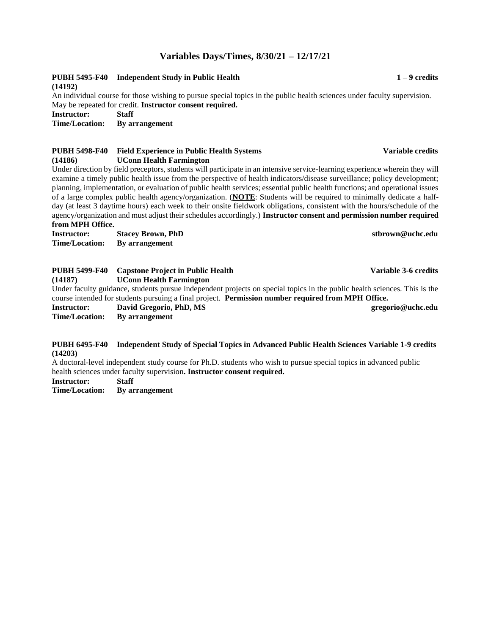# **Variables Days/Times, 8/30/21 – 12/17/21**

# **PUBH 5495-F40 Independent Study in Public Health 1 – 9 credits (14192)**

An individual course for those wishing to pursue special topics in the public health sciences under faculty supervision. May be repeated for credit. **Instructor consent required.**

**Instructor: Staff**

**Time/Location: By arrangement**

# **PUBH 5498-F40 Field Experience in Public Health Systems Variable credits (14186) UConn Health Farmington**

Under direction by field preceptors, students will participate in an intensive service-learning experience wherein they will examine a timely public health issue from the perspective of health indicators/disease surveillance; policy development; planning, implementation, or evaluation of public health services; essential public health functions; and operational issues of a large complex public health agency/organization. (**NOTE**: Students will be required to minimally dedicate a halfday (at least 3 daytime hours) each week to their onsite fieldwork obligations, consistent with the hours/schedule of the agency/organization and must adjust their schedules accordingly.) **Instructor consent and permission number required from MPH Office.**

**Instructor: Stacey Brown, PhD stbrown@uchc.edu Time/Location: By arrangement**

| <b>PUBH 5499-F40</b> | <b>Capstone Project in Public Health</b>                                                                                  | Variable 3-6 credits |
|----------------------|---------------------------------------------------------------------------------------------------------------------------|----------------------|
| (14187)              | <b>UConn Health Farmington</b>                                                                                            |                      |
|                      | Under faculty guidance, students pursue independent projects on special topics in the public health sciences. This is the |                      |
|                      | course intended for students pursuing a final project. Permission number required from MPH Office.                        |                      |
| <b>Instructor:</b>   | David Gregorio, PhD, MS                                                                                                   | gregorio@uchc.edu    |
| Time/Location:       | By arrangement                                                                                                            |                      |
|                      |                                                                                                                           |                      |

### **PUBH 6495-F40 Independent Study of Special Topics in Advanced Public Health Sciences Variable 1-9 credits (14203)**

A doctoral-level independent study course for Ph.D. students who wish to pursue special topics in advanced public health sciences under faculty supervision**. Instructor consent required.**

**Instructor: Staff**

**Time/Location: By arrangement**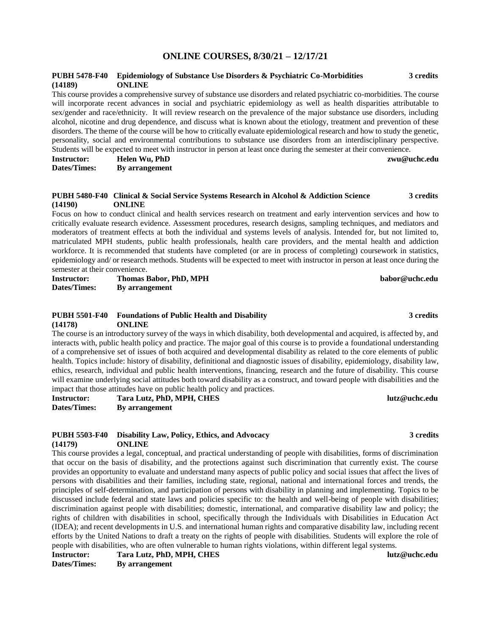# **ONLINE COURSES, 8/30/21 – 12/17/21**

### **PUBH 5478-F40 Epidemiology of Substance Use Disorders & Psychiatric Co-Morbidities 3 credits (14189) ONLINE**

This course provides a comprehensive survey of substance use disorders and related psychiatric co-morbidities. The course will incorporate recent advances in social and psychiatric epidemiology as well as health disparities attributable to sex/gender and race/ethnicity. It will review research on the prevalence of the major substance use disorders, including alcohol, nicotine and drug dependence, and discuss what is known about the etiology, treatment and prevention of these disorders. The theme of the course will be how to critically evaluate epidemiological research and how to study the genetic, personality, social and environmental contributions to substance use disorders from an interdisciplinary perspective. Students will be expected to meet with instructor in person at least once during the semester at their convenience.

**Instructor: Helen Wu, PhD zwu@uchc.edu Dates/Times: By arrangement**

### **PUBH 5480-F40 Clinical & Social Service Systems Research in Alcohol & Addiction Science 3 credits (14190) ONLINE**

Focus on how to conduct clinical and health services research on treatment and early intervention services and how to critically evaluate research evidence. Assessment procedures, research designs, sampling techniques, and mediators and moderators of treatment effects at both the individual and systems levels of analysis. Intended for, but not limited to, matriculated MPH students, public health professionals, health care providers, and the mental health and addiction workforce. It is recommended that students have completed (or are in process of completing) coursework in statistics, epidemiology and/ or research methods. Students will be expected to meet with instructor in person at least once during the semester at their convenience.

**Instructor: Thomas Babor, PhD, MPH babor@uchc.edu Dates/Times: By arrangement**

### **PUBH 5501-F40 Foundations of Public Health and Disability 3 credits (14178) ONLINE**

The course is an introductory survey of the ways in which disability, both developmental and acquired, is affected by, and interacts with, public health policy and practice. The major goal of this course is to provide a foundational understanding of a comprehensive set of issues of both acquired and developmental disability as related to the core elements of public health. Topics include: history of disability, definitional and diagnostic issues of disability, epidemiology, disability law, ethics, research, individual and public health interventions, financing, research and the future of disability. This course will examine underlying social attitudes both toward disability as a construct, and toward people with disabilities and the impact that those attitudes have on public health policy and practices.

**Instructor: Tara Lutz, PhD, MPH, CHES lutz@uchc.edu Dates/Times: By arrangement**

### **PUBH 5503-F40 Disability Law, Policy, Ethics, and Advocacy 3 credits (14179) ONLINE**

This course provides a legal, conceptual, and practical understanding of people with disabilities, forms of discrimination that occur on the basis of disability, and the protections against such discrimination that currently exist. The course provides an opportunity to evaluate and understand many aspects of public policy and social issues that affect the lives of persons with disabilities and their families, including state, regional, national and international forces and trends, the principles of self-determination, and participation of persons with disability in planning and implementing. Topics to be discussed include federal and state laws and policies specific to: the health and well-being of people with disabilities; discrimination against people with disabilities; domestic, international, and comparative disability law and policy; the rights of children with disabilities in school, specifically through the Individuals with Disabilities in Education Act (IDEA); and recent developments in U.S. and international human rights and comparative disability law, including recent efforts by the United Nations to draft a treaty on the rights of people with disabilities. Students will explore the role of people with disabilities, who are often vulnerable to human rights violations, within different legal systems.

**Instructor: Tara Lutz, PhD, MPH, CHES lutz@uchc.edu Dates/Times: By arrangement**